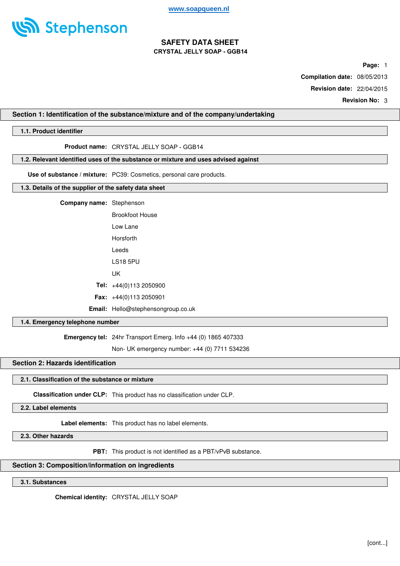

**Page:** 1

**Compilation date:** 08/05/2013

**Revision date:** 22/04/2015

**Revision No:** 3

### **Section 1: Identification of the substance/mixture and of the company/undertaking**

## **1.1. Product identifier**

**Product name:** CRYSTAL JELLY SOAP - GGB14

## **1.2. Relevant identified uses of the substance or mixture and uses advised against**

**Use of substance / mixture:** PC39: Cosmetics, personal care products.

## **1.3. Details of the supplier of the safety data sheet**

| <b>Company name:</b> Stephenson |                                           |
|---------------------------------|-------------------------------------------|
|                                 | <b>Brookfoot House</b>                    |
|                                 | lowlane                                   |
|                                 | Horsforth                                 |
|                                 | Leeds                                     |
|                                 | <b>LS18 5PU</b>                           |
|                                 | UΚ                                        |
|                                 | <b>Tel:</b> $+44(0)1132050900$            |
|                                 | <b>Fax:</b> $+44(0)1132050901$            |
|                                 | <b>Email:</b> Hello@stephensongroup.co.uk |

#### **1.4. Emergency telephone number**

**Emergency tel:** 24hr Transport Emerg. Info +44 (0) 1865 407333

Non- UK emergency number: +44 (0) 7711 534236

## **Section 2: Hazards identification**

### **2.1. Classification of the substance or mixture**

**Classification under CLP:** This product has no classification under CLP.

**2.2. Label elements**

**Label elements:** This product has no label elements.

**2.3. Other hazards**

**PBT:** This product is not identified as a PBT/vPvB substance.

#### **Section 3: Composition/information on ingredients**

**3.1. Substances**

**Chemical identity:** CRYSTAL JELLY SOAP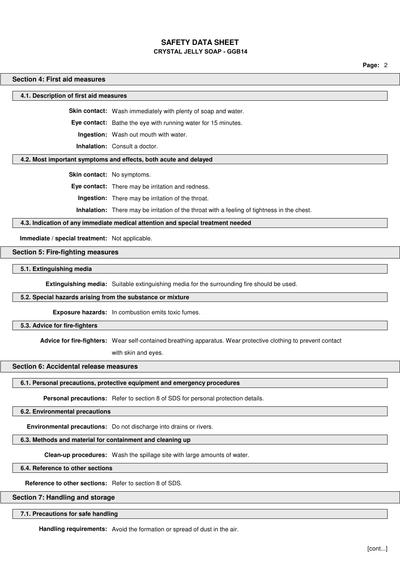**Page:** 2

#### **Section 4: First aid measures**

**4.1. Description of first aid measures**

**Skin contact:** Wash immediately with plenty of soap and water.

**Eye contact:** Bathe the eye with running water for 15 minutes.

**Ingestion:** Wash out mouth with water.

**Inhalation:** Consult a doctor.

#### **4.2. Most important symptoms and effects, both acute and delayed**

**Skin contact:** No symptoms.

**Eye contact:** There may be irritation and redness.

**Ingestion:** There may be irritation of the throat.

**Inhalation:** There may be irritation of the throat with a feeling of tightness in the chest.

### **4.3. Indication of any immediate medical attention and special treatment needed**

**Immediate / special treatment:** Not applicable.

#### **Section 5: Fire-fighting measures**

**5.1. Extinguishing media**

**Extinguishing media:** Suitable extinguishing media for the surrounding fire should be used.

### **5.2. Special hazards arising from the substance or mixture**

**Exposure hazards:** In combustion emits toxic fumes.

#### **5.3. Advice for fire-fighters**

**Advice for fire-fighters:** Wear self-contained breathing apparatus. Wear protective clothing to prevent contact

with skin and eyes.

## **Section 6: Accidental release measures**

#### **6.1. Personal precautions, protective equipment and emergency procedures**

**Personal precautions:** Refer to section 8 of SDS for personal protection details.

**6.2. Environmental precautions**

**Environmental precautions:** Do not discharge into drains or rivers.

#### **6.3. Methods and material for containment and cleaning up**

**Clean-up procedures:** Wash the spillage site with large amounts of water.

**6.4. Reference to other sections**

**Reference to other sections:** Refer to section 8 of SDS.

### **Section 7: Handling and storage**

#### **7.1. Precautions for safe handling**

**Handling requirements:** Avoid the formation or spread of dust in the air.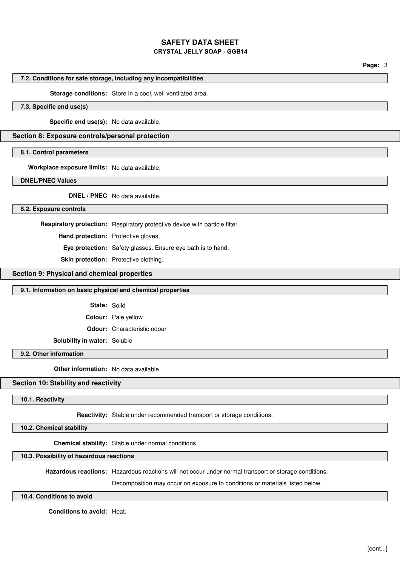## **SAFETY DATA SHEET**

## **CRYSTAL JELLY SOAP - GGB14**

**Page:** 3

## **7.2. Conditions for safe storage, including any incompatibilities**

#### **Storage conditions:** Store in a cool, well ventilated area.

## **7.3. Specific end use(s)**

**Specific end use(s):** No data available.

### **Section 8: Exposure controls/personal protection**

#### **8.1. Control parameters**

**Workplace exposure limits:** No data available.

**DNEL/PNEC Values**

**DNEL / PNEC** No data available.

**8.2. Exposure controls**

**Respiratory protection:** Respiratory protective device with particle filter.

**Hand protection:** Protective gloves.

**Eye protection:** Safety glasses. Ensure eye bath is to hand.

**Skin protection:** Protective clothing.

## **Section 9: Physical and chemical properties**

#### **9.1. Information on basic physical and chemical properties**

**State:** Solid

**Colour:** Pale yellow

**Odour:** Characteristic odour

**Solubility in water:** Soluble

## **9.2. Other information**

**Other information:** No data available.

## **Section 10: Stability and reactivity**

**10.1. Reactivity**

**Reactivity:** Stable under recommended transport or storage conditions.

#### **10.2. Chemical stability**

**Chemical stability:** Stable under normal conditions.

**10.3. Possibility of hazardous reactions**

**Hazardous reactions:** Hazardous reactions will not occur under normal transport or storage conditions.

Decomposition may occur on exposure to conditions or materials listed below.

**10.4. Conditions to avoid**

**Conditions to avoid:** Heat.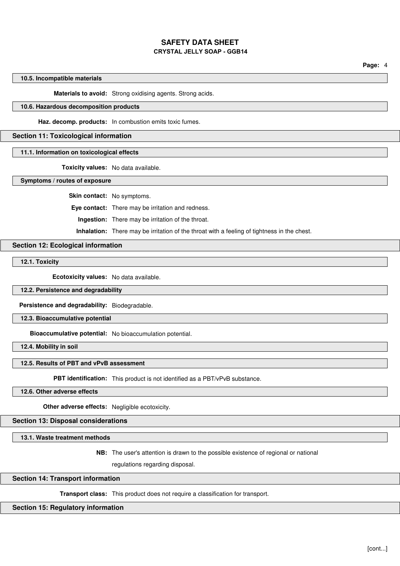**Page:** 4

#### **10.5. Incompatible materials**

**Materials to avoid:** Strong oxidising agents. Strong acids.

## **10.6. Hazardous decomposition products**

**Haz. decomp. products:** In combustion emits toxic fumes.

## **Section 11: Toxicological information**

#### **11.1. Information on toxicological effects**

**Toxicity values:** No data available.

**Symptoms / routes of exposure**

**Skin contact:** No symptoms.

**Eye contact:** There may be irritation and redness.

**Ingestion:** There may be irritation of the throat.

**Inhalation:** There may be irritation of the throat with a feeling of tightness in the chest.

#### **Section 12: Ecological information**

**12.1. Toxicity**

**Ecotoxicity values:** No data available.

**12.2. Persistence and degradability**

**Persistence and degradability:** Biodegradable.

**12.3. Bioaccumulative potential**

**Bioaccumulative potential:** No bioaccumulation potential.

**12.4. Mobility in soil**

### **12.5. Results of PBT and vPvB assessment**

**PBT identification:** This product is not identified as a PBT/vPvB substance.

## **12.6. Other adverse effects**

**Other adverse effects:** Negligible ecotoxicity.

**Section 13: Disposal considerations**

**13.1. Waste treatment methods**

**NB:** The user's attention is drawn to the possible existence of regional or national

regulations regarding disposal.

## **Section 14: Transport information**

**Transport class:** This product does not require a classification for transport.

## **Section 15: Regulatory information**